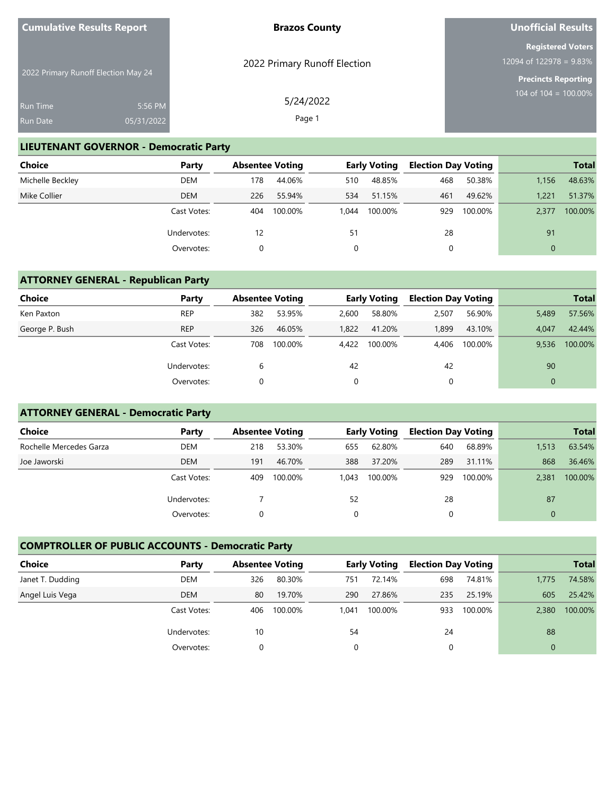| <b>Cumulative Results Report</b>    |                       | <b>Brazos County</b>         | <b>Unofficial Results</b>                                                                         |
|-------------------------------------|-----------------------|------------------------------|---------------------------------------------------------------------------------------------------|
| 2022 Primary Runoff Election May 24 |                       | 2022 Primary Runoff Election | <b>Registered Voters</b><br>$12094$ of $122\overline{978} = 9.83\%$<br><b>Precincts Reporting</b> |
| <b>Run Time</b><br><b>Run Date</b>  | 5:56 PM<br>05/31/2022 | 5/24/2022<br>Page 1          | 104 of 104 = 100.00%                                                                              |

#### **LIEUTENANT GOVERNOR - Democratic Party**

| Choice           | Party       | <b>Absentee Voting</b> |         |       | <b>Early Voting</b> | <b>Election Day Voting</b> |         |          | <b>Total</b> |
|------------------|-------------|------------------------|---------|-------|---------------------|----------------------------|---------|----------|--------------|
| Michelle Beckley | <b>DEM</b>  | 178                    | 44.06%  | 510   | 48.85%              | 468                        | 50.38%  | 1.156    | 48.63%       |
| Mike Collier     | <b>DEM</b>  | 226                    | 55.94%  | 534   | 51.15%              | 461                        | 49.62%  | 1.221    | 51.37%       |
|                  | Cast Votes: | 404                    | 100.00% | 1.044 | 100.00%             | 929                        | 100.00% | 2.377    | 100.00%      |
|                  | Undervotes: | 12                     |         | 51    |                     | 28                         |         | 91       |              |
|                  | Overvotes:  |                        |         |       |                     | 0                          |         | $\Omega$ |              |

## **ATTORNEY GENERAL - Republican Party**

| <b>Choice</b>  | Party       | <b>Absentee Voting</b> |         |       | <b>Early Voting</b> | <b>Election Day Voting</b> |         |          | <b>Total</b> |
|----------------|-------------|------------------------|---------|-------|---------------------|----------------------------|---------|----------|--------------|
| Ken Paxton     | <b>REP</b>  | 382                    | 53.95%  | 2,600 | 58.80%              | 2,507                      | 56.90%  | 5,489    | 57.56%       |
| George P. Bush | <b>REP</b>  | 326                    | 46.05%  | 1.822 | 41.20%              | 1.899                      | 43.10%  | 4.047    | 42.44%       |
|                | Cast Votes: | 708                    | 100.00% | 4,422 | 100.00%             | 4.406                      | 100.00% | 9,536    | 100.00%      |
|                | Undervotes: | 6                      |         | 42    |                     | 42                         |         | 90       |              |
|                | Overvotes:  |                        |         | 0     |                     | 0                          |         | $\Omega$ |              |

## **ATTORNEY GENERAL - Democratic Party**

| Choice                  | Party       | <b>Absentee Voting</b> |         |       | Early Voting | <b>Election Day Voting</b> |         |          | <b>Total</b> |
|-------------------------|-------------|------------------------|---------|-------|--------------|----------------------------|---------|----------|--------------|
| Rochelle Mercedes Garza | <b>DEM</b>  | 218                    | 53.30%  | 655   | 62.80%       | 640                        | 68.89%  | 1,513    | 63.54%       |
| Joe Jaworski            | <b>DEM</b>  | 191                    | 46.70%  | 388   | 37.20%       | 289                        | 31.11%  | 868      | 36.46%       |
|                         | Cast Votes: | 409                    | 100.00% | 1.043 | 100.00%      | 929                        | 100.00% | 2.381    | 100.00%      |
|                         | Undervotes: |                        |         | 52    |              | 28                         |         | 87       |              |
|                         | Overvotes:  |                        |         | 0     |              | 0                          |         | $\Omega$ |              |

## **COMPTROLLER OF PUBLIC ACCOUNTS - Democratic Party**

| Choice           | Party       | <b>Absentee Voting</b> |         |          | <b>Early Voting</b> | <b>Election Day Voting</b> |         |          | <b>Total</b> |
|------------------|-------------|------------------------|---------|----------|---------------------|----------------------------|---------|----------|--------------|
| Janet T. Dudding | <b>DEM</b>  | 326                    | 80.30%  | 751      | 72.14%              | 698                        | 74.81%  | 1,775    | 74.58%       |
| Angel Luis Vega  | <b>DEM</b>  | 80                     | 19.70%  | 290      | 27.86%              | 235                        | 25.19%  | 605      | 25.42%       |
|                  | Cast Votes: | 406                    | 100.00% | .041     | 100.00%             | 933                        | 100.00% | 2,380    | 100.00%      |
|                  | Undervotes: | 10                     |         | 54       |                     | 24                         |         | 88       |              |
|                  | Overvotes:  |                        |         | $\Omega$ |                     |                            |         | $\Omega$ |              |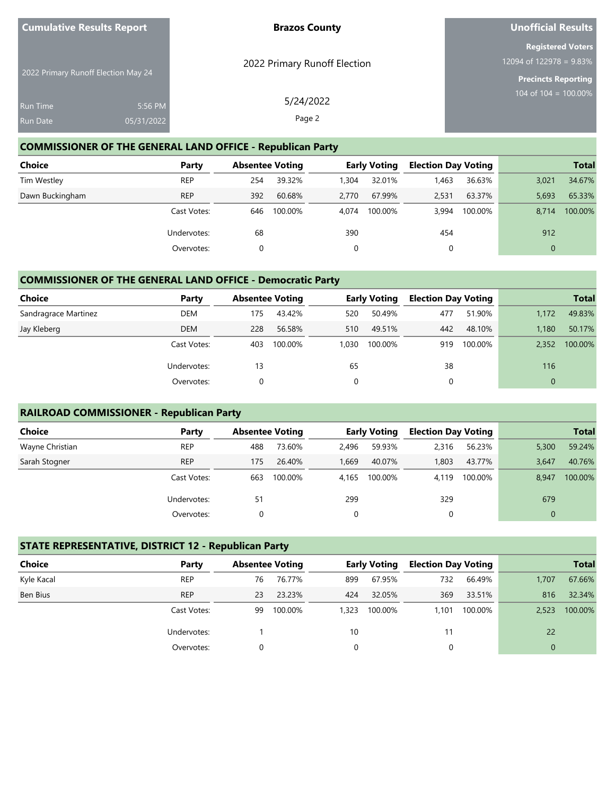| <b>Cumulative Results Report</b>    |                       | <b>Brazos County</b>         | <b>Unofficial Results</b>                                                            |
|-------------------------------------|-----------------------|------------------------------|--------------------------------------------------------------------------------------|
| 2022 Primary Runoff Election May 24 |                       | 2022 Primary Runoff Election | <b>Registered Voters</b><br>12094 of 122978 = $9.83\%$<br><b>Precincts Reporting</b> |
| <b>Run Time</b><br><b>Run Date</b>  | 5:56 PM<br>05/31/2022 | 5/24/2022<br>Page 2          | 104 of $104 = 100.00\%$                                                              |

#### **COMMISSIONER OF THE GENERAL LAND OFFICE - Republican Party**

| Choice          | Party       | <b>Absentee Voting</b> |         |       | <b>Early Voting</b> | <b>Election Day Voting</b> |         |          | <b>Total</b> |
|-----------------|-------------|------------------------|---------|-------|---------------------|----------------------------|---------|----------|--------------|
| Tim Westley     | <b>REP</b>  | 254                    | 39.32%  | 1,304 | 32.01%              | 1,463                      | 36.63%  | 3,021    | 34.67%       |
| Dawn Buckingham | <b>REP</b>  | 392                    | 60.68%  | 2.770 | 67.99%              | 2,531                      | 63.37%  | 5,693    | 65.33%       |
|                 | Cast Votes: | 646                    | 100.00% | 4.074 | 100.00%             | 3.994                      | 100.00% | 8.714    | 100.00%      |
|                 | Undervotes: | 68                     |         | 390   |                     | 454                        |         | 912      |              |
|                 | Overvotes:  |                        |         |       |                     | 0                          |         | $\Omega$ |              |

#### **COMMISSIONER OF THE GENERAL LAND OFFICE - Democratic Party**

| <b>Choice</b>        | Party       | <b>Absentee Voting</b> |         |       | <b>Early Voting</b> | <b>Election Day Voting</b> |         |          | <b>Total</b> |
|----------------------|-------------|------------------------|---------|-------|---------------------|----------------------------|---------|----------|--------------|
| Sandragrace Martinez | DEM         | 175                    | 43.42%  | 520   | 50.49%              | 477                        | 51.90%  | 1.172    | 49.83%       |
| Jay Kleberg          | <b>DEM</b>  | 228                    | 56.58%  | 510   | 49.51%              | 442                        | 48.10%  | 1.180    | 50.17%       |
|                      | Cast Votes: | 403                    | 100.00% | 1.030 | 100.00%             | 919                        | 100.00% | 2.352    | 100.00%      |
|                      | Undervotes: | 13                     |         | 65    |                     | 38                         |         | 116      |              |
|                      | Overvotes:  |                        |         | 0     |                     | 0                          |         | $\Omega$ |              |

#### **RAILROAD COMMISSIONER - Republican Party**

| <b>Choice</b>   | Party       | <b>Absentee Voting</b> |         |       | <b>Early Voting</b> | <b>Election Day Voting</b> |         |             | <b>Total</b> |
|-----------------|-------------|------------------------|---------|-------|---------------------|----------------------------|---------|-------------|--------------|
| Wayne Christian | <b>REP</b>  | 488                    | 73.60%  | 2.496 | 59.93%              | 2,316                      | 56.23%  | 5,300       | 59.24%       |
| Sarah Stogner   | <b>REP</b>  | 175                    | 26.40%  | 1.669 | 40.07%              | 1,803                      | 43.77%  | 3.647       | 40.76%       |
|                 | Cast Votes: | 663                    | 100.00% | 4.165 | 100.00%             | 4.119                      | 100.00% | 8.947       | 100.00%      |
|                 | Undervotes: | 51                     |         | 299   |                     | 329                        |         | 679         |              |
|                 | Overvotes:  |                        |         | 0     |                     | 0                          |         | $\mathbf 0$ |              |

#### **STATE REPRESENTATIVE, DISTRICT 12 - Republican Party**

| <b>Choice</b> | Party       | <b>Absentee Voting</b> |         |       | <b>Early Voting</b> | <b>Election Day Voting</b> |         |          | <b>Total</b> |
|---------------|-------------|------------------------|---------|-------|---------------------|----------------------------|---------|----------|--------------|
| Kyle Kacal    | <b>REP</b>  | 76                     | 76.77%  | 899   | 67.95%              | 732                        | 66.49%  | 1.707    | 67.66%       |
| Ben Bius      | <b>REP</b>  | 23                     | 23.23%  | 424   | 32.05%              | 369                        | 33.51%  | 816      | 32.34%       |
|               | Cast Votes: | 99                     | 100.00% | 1,323 | 100.00%             | 1.101                      | 100.00% | 2,523    | 100.00%      |
|               | Undervotes: |                        |         | 10    |                     | 11                         |         | 22       |              |
|               | Overvotes:  | 0                      |         |       |                     |                            |         | $\Omega$ |              |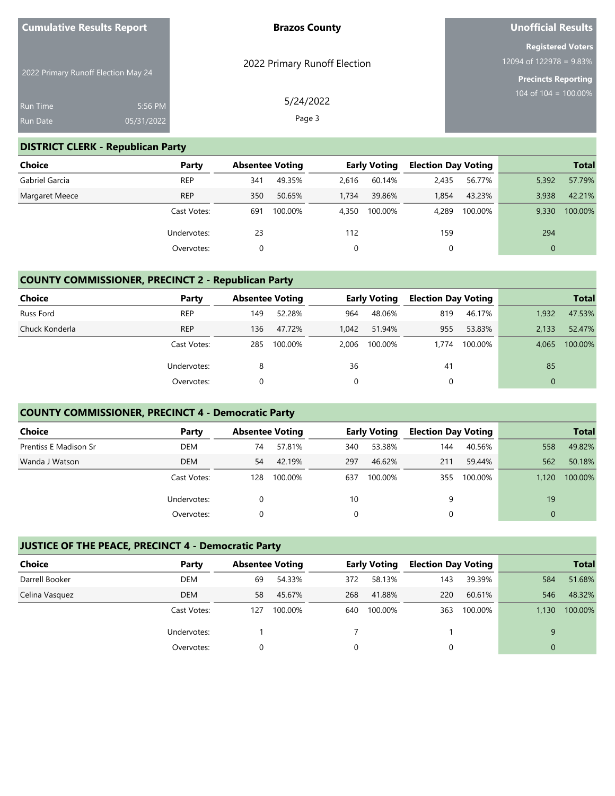| <b>Cumulative Results Report</b>    |            | <b>Brazos County</b>         | <b>Unofficial Results</b>                                           |
|-------------------------------------|------------|------------------------------|---------------------------------------------------------------------|
|                                     |            | 2022 Primary Runoff Election | <b>Registered Voters</b><br>$12094$ of $122\overline{978} = 9.83\%$ |
| 2022 Primary Runoff Election May 24 |            |                              | <b>Precincts Reporting</b>                                          |
| <b>Run Time</b>                     | 5:56 PM    | 5/24/2022                    | 104 of 104 = $100.00\%$                                             |
| <b>Run Date</b>                     | 05/31/2022 | Page 3                       |                                                                     |

#### **DISTRICT CLERK - Republican Party**

| Choice         | Party       | <b>Absentee Voting</b> |         |       | <b>Early Voting</b> | <b>Election Day Voting</b> |         |          | <b>Total</b> |
|----------------|-------------|------------------------|---------|-------|---------------------|----------------------------|---------|----------|--------------|
| Gabriel Garcia | <b>REP</b>  | 341                    | 49.35%  | 2.616 | 60.14%              | 2.435                      | 56.77%  | 5,392    | 57.79%       |
| Margaret Meece | <b>REP</b>  | 350                    | 50.65%  | 1.734 | 39.86%              | 1.854                      | 43.23%  | 3,938    | 42.21%       |
|                | Cast Votes: | 691                    | 100.00% | 4.350 | 100.00%             | 4.289                      | 100.00% | 9.330    | 100.00%      |
|                | Undervotes: | 23                     |         | 112   |                     | 159                        |         | 294      |              |
|                | Overvotes:  | 0                      |         |       |                     |                            |         | $\Omega$ |              |

### **COUNTY COMMISSIONER, PRECINCT 2 - Republican Party**

| <b>Choice</b>  | Party       | <b>Absentee Voting</b> |         |       | <b>Early Voting</b> | <b>Election Day Voting</b> |         |              | <b>Total</b> |
|----------------|-------------|------------------------|---------|-------|---------------------|----------------------------|---------|--------------|--------------|
| Russ Ford      | <b>REP</b>  | 149                    | 52.28%  | 964   | 48.06%              | 819                        | 46.17%  | 1.932        | 47.53%       |
| Chuck Konderla | <b>REP</b>  | 136                    | 47.72%  | 1.042 | 51.94%              | 955                        | 53.83%  | 2.133        | 52.47%       |
|                | Cast Votes: | 285                    | 100.00% | 2.006 | 100.00%             | 1.774                      | 100.00% | 4.065        | 100.00%      |
|                | Undervotes: | 8                      |         | 36    |                     | 41                         |         | 85           |              |
|                | Overvotes:  |                        |         | 0     |                     | 0                          |         | $\mathbf{0}$ |              |

#### **COUNTY COMMISSIONER, PRECINCT 4 - Democratic Party**

| <b>Choice</b>         | Party       | <b>Absentee Voting</b> |         |     | <b>Early Voting</b> | <b>Election Day Voting</b> |         |          | <b>Total</b> |
|-----------------------|-------------|------------------------|---------|-----|---------------------|----------------------------|---------|----------|--------------|
| Prentiss E Madison Sr | DEM         | 74                     | 57.81%  | 340 | 53.38%              | 144                        | 40.56%  | 558      | 49.82%       |
| Wanda J Watson        | <b>DEM</b>  | 54                     | 42.19%  | 297 | 46.62%              | 211                        | 59.44%  | 562      | 50.18%       |
|                       | Cast Votes: | 128                    | 100.00% | 637 | 100.00%             | 355                        | 100.00% | 1.120    | 100.00%      |
|                       | Undervotes: |                        |         | 10  |                     | 9                          |         | 19       |              |
|                       | Overvotes:  |                        |         |     |                     | 0                          |         | $\Omega$ |              |

### **JUSTICE OF THE PEACE, PRECINCT 4 - Democratic Party**

| Choice         | Party       | <b>Absentee Voting</b> |         |          | <b>Early Voting</b> | <b>Election Day Voting</b> |         |          | <b>Total</b> |
|----------------|-------------|------------------------|---------|----------|---------------------|----------------------------|---------|----------|--------------|
| Darrell Booker | <b>DEM</b>  | 69                     | 54.33%  | 372      | 58.13%              | 143                        | 39.39%  | 584      | 51.68%       |
| Celina Vasquez | <b>DEM</b>  | 58                     | 45.67%  | 268      | 41.88%              | 220                        | 60.61%  | 546      | 48.32%       |
|                | Cast Votes: | 127                    | 100.00% | 640      | 100.00%             | 363                        | 100.00% | 1.130    | 100.00%      |
|                | Undervotes: |                        |         |          |                     |                            |         | 9        |              |
|                | Overvotes:  |                        |         | $\Omega$ |                     |                            |         | $\Omega$ |              |